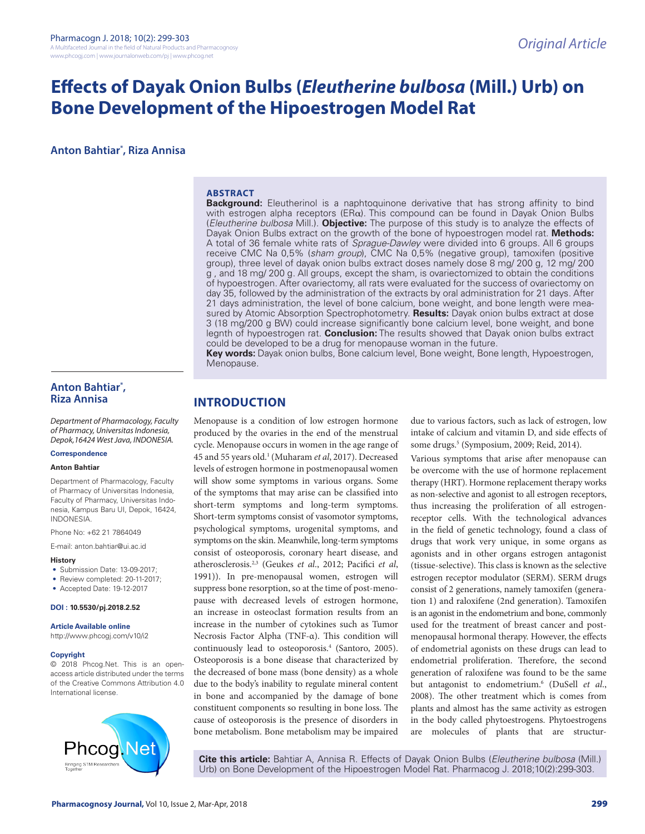# **Effects of Dayak Onion Bulbs (***Eleutherine bulbosa* **(Mill.) Urb) on Bone Development of the Hipoestrogen Model Rat**

**Anton Bahtiar\* , Riza Annisa**

#### **ABSTRACT**

**Background:** Eleutherinol is a naphtoquinone derivative that has strong affinity to bind with estrogen alpha receptors ( $E R\alpha$ ). This compound can be found in Dayak Onion Bulbs (*Eleutherine bulbosa* Mill.). **Objective:** The purpose of this study is to analyze the effects of Dayak Onion Bulbs extract on the growth of the bone of hypoestrogen model rat. **Methods:**  A total of 36 female white rats of *Sprague-Dawley* were divided into 6 groups. All 6 groups receive CMC Na 0,5% (*sham group*), CMC Na 0,5% (negative group), tamoxifen (positive group), three level of dayak onion bulbs extract doses namely dose 8 mg/ 200 g, 12 mg/ 200 g , and 18 mg/ 200 g. All groups, except the sham, is ovariectomized to obtain the conditions of hypoestrogen. After ovariectomy, all rats were evaluated for the success of ovariectomy on day 35, followed by the administration of the extracts by oral administration for 21 days. After 21 days administration, the level of bone calcium, bone weight, and bone length were measured by Atomic Absorption Spectrophotometry. **Results:** Dayak onion bulbs extract at dose 3 (18 mg/200 g BW) could increase significantly bone calcium level, bone weight, and bone legnth of hypoestrogen rat. **Conclusion:** The results showed that Dayak onion bulbs extract could be developed to be a drug for menopause woman in the future.

**Key words:** Dayak onion bulbs, Bone calcium level, Bone weight, Bone length, Hypoestrogen, Menopause.

# **Anton Bahtiar\* , Riza Annisa**

*Department of Pharmacology, Faculty of Pharmacy, Universitas Indonesia, Depok,16424 West Java, INDONESIA.*

# **Correspondence**

### **Anton Bahtiar**

Department of Pharmacology, Faculty of Pharmacy of Universitas Indonesia, Faculty of Pharmacy, Universitas Indonesia, Kampus Baru UI, Depok, 16424, INDONESIA.

Phone No: +62 21 7864049

E-mail: anton.bahtiar@ui.ac.id

- **History**
- Submission Date: 13-09-2017;
- Review completed: 20-11-2017;

• Accepted Date: 19-12-2017

#### **DOI : 10.5530/pj.2018.2.52**

**Article Available online** 

http://www.phcogj.com/v10/i2

#### **Copyright**

© 2018 Phcog.Net. This is an openaccess article distributed under the terms of the Creative Commons Attribution 4.0 International license.



# **INTRODUCTION**

Menopause is a condition of low estrogen hormone produced by the ovaries in the end of the menstrual cycle. Menopause occurs in women in the age range of 45 and 55 years old.1 (Muharam *et al*, 2017). Decreased levels of estrogen hormone in postmenopausal women will show some symptoms in various organs. Some of the symptoms that may arise can be classified into short-term symptoms and long-term symptoms. Short-term symptoms consist of vasomotor symptoms, psychological symptoms, urogenital symptoms, and symptoms on the skin. Meanwhile, long-term symptoms consist of osteoporosis, coronary heart disease, and atherosclerosis.2,3 (Geukes *et al*., 2012; Pacifici *et al*, 1991)). In pre-menopausal women, estrogen will suppress bone resorption, so at the time of post-menopause with decreased levels of estrogen hormone, an increase in osteoclast formation results from an increase in the number of cytokines such as Tumor Necrosis Factor Alpha (TNF-α). This condition will continuously lead to osteoporosis.4 (Santoro, 2005). Osteoporosis is a bone disease that characterized by the decreased of bone mass (bone density) as a whole due to the body's inability to regulate mineral content in bone and accompanied by the damage of bone constituent components so resulting in bone loss. The cause of osteoporosis is the presence of disorders in bone metabolism. Bone metabolism may be impaired

due to various factors, such as lack of estrogen, low intake of calcium and vitamin D, and side effects of some drugs.5 (Symposium, 2009; Reid, 2014).

Various symptoms that arise after menopause can be overcome with the use of hormone replacement therapy (HRT). Hormone replacement therapy works as non-selective and agonist to all estrogen receptors, thus increasing the proliferation of all estrogenreceptor cells. With the technological advances in the field of genetic technology, found a class of drugs that work very unique, in some organs as agonists and in other organs estrogen antagonist (tissue-selective). This class is known as the selective estrogen receptor modulator (SERM). SERM drugs consist of 2 generations, namely tamoxifen (generation 1) and raloxifene (2nd generation). Tamoxifen is an agonist in the endometrium and bone, commonly used for the treatment of breast cancer and postmenopausal hormonal therapy. However, the effects of endometrial agonists on these drugs can lead to endometrial proliferation. Therefore, the second generation of raloxifene was found to be the same but antagonist to endometrium.6 (DuSell *et al*., 2008). The other treatment which is comes from plants and almost has the same activity as estrogen in the body called phytoestrogens. Phytoestrogens are molecules of plants that are structur-

**Cite this article:** Bahtiar A, Annisa R. Effects of Dayak Onion Bulbs (*Eleutherine bulbosa* (Mill.) Urb) on Bone Development of the Hipoestrogen Model Rat. Pharmacog J. 2018;10(2):299-303.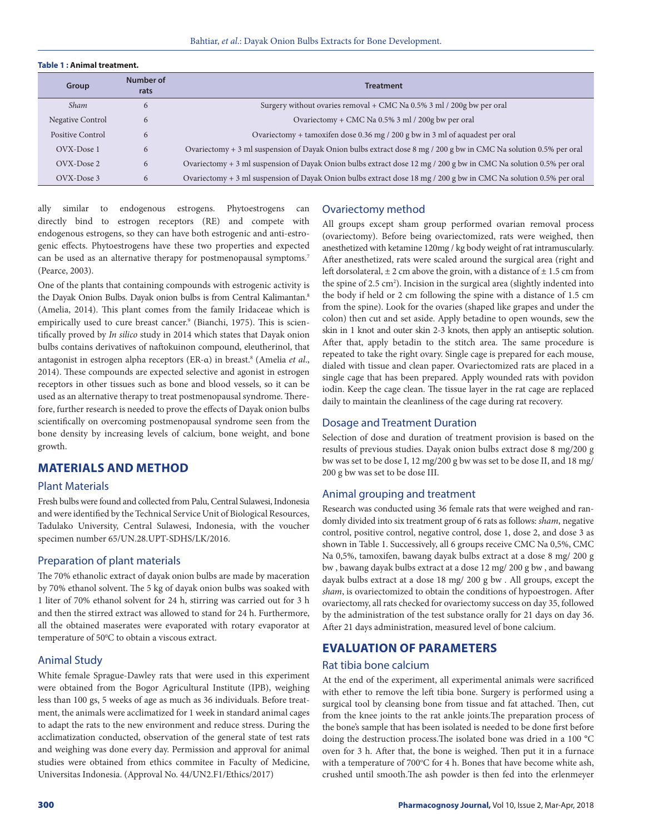#### **Table 1 : Animal treatment.**

| Group            | Number of<br>rats | <b>Treatment</b>                                                                                                  |
|------------------|-------------------|-------------------------------------------------------------------------------------------------------------------|
| <b>Sham</b>      | 6                 | Surgery without ovaries removal + CMC Na 0.5% 3 ml / 200g bw per oral                                             |
| Negative Control | 6                 | Ovariectomy + CMC Na 0.5% 3 ml / 200g bw per oral                                                                 |
| Positive Control | 6                 | Ovariectomy + tamoxifen dose 0.36 mg / 200 g bw in 3 ml of aquadest per oral                                      |
| OVX-Dose 1       | 6                 | Ovariectomy + 3 ml suspension of Dayak Onion bulbs extract dose 8 mg / 200 g bw in CMC Na solution 0.5% per oral  |
| OVX-Dose 2       | 6                 | Ovariectomy + 3 ml suspension of Dayak Onion bulbs extract dose 12 mg / 200 g bw in CMC Na solution 0.5% per oral |
| OVX-Dose 3       | 6                 | Ovariectomy + 3 ml suspension of Dayak Onion bulbs extract dose 18 mg / 200 g bw in CMC Na solution 0.5% per oral |

ally similar to endogenous estrogens. Phytoestrogens can directly bind to estrogen receptors (RE) and compete with endogenous estrogens, so they can have both estrogenic and anti-estrogenic effects. Phytoestrogens have these two properties and expected can be used as an alternative therapy for postmenopausal symptoms.<sup>7</sup> (Pearce, 2003).

One of the plants that containing compounds with estrogenic activity is the Dayak Onion Bulbs. Dayak onion bulbs is from Central Kalimantan.<sup>8</sup> (Amelia, 2014). This plant comes from the family Iridaceae which is empirically used to cure breast cancer.<sup>9</sup> (Bianchi, 1975). This is scientifically proved by *In silico* study in 2014 which states that Dayak onion bulbs contains derivatives of naftokuinon compound, eleutherinol, that antagonist in estrogen alpha receptors (ER-α) in breast.<sup>8</sup> (Amelia *et al.*, 2014). These compounds are expected selective and agonist in estrogen receptors in other tissues such as bone and blood vessels, so it can be used as an alternative therapy to treat postmenopausal syndrome. Therefore, further research is needed to prove the effects of Dayak onion bulbs scientifically on overcoming postmenopausal syndrome seen from the bone density by increasing levels of calcium, bone weight, and bone growth.

# **MATERIALS AND METHOD**

#### Plant Materials

Fresh bulbs were found and collected from Palu, Central Sulawesi, Indonesia and were identified by the Technical Service Unit of Biological Resources, Tadulako University, Central Sulawesi, Indonesia, with the voucher specimen number 65/UN.28.UPT-SDHS/LK/2016.

#### Preparation of plant materials

The 70% ethanolic extract of dayak onion bulbs are made by maceration by 70% ethanol solvent. The 5 kg of dayak onion bulbs was soaked with 1 liter of 70% ethanol solvent for 24 h, stirring was carried out for 3 h and then the stirred extract was allowed to stand for 24 h. Furthermore, all the obtained maserates were evaporated with rotary evaporator at temperature of 50°C to obtain a viscous extract.

### Animal Study

White female Sprague-Dawley rats that were used in this experiment were obtained from the Bogor Agricultural Institute (IPB), weighing less than 100 gs, 5 weeks of age as much as 36 individuals. Before treatment, the animals were acclimatized for 1 week in standard animal cages to adapt the rats to the new environment and reduce stress. During the acclimatization conducted, observation of the general state of test rats and weighing was done every day. Permission and approval for animal studies were obtained from ethics commitee in Faculty of Medicine, Universitas Indonesia. (Approval No. 44/UN2.F1/Ethics/2017)

#### Ovariectomy method

All groups except sham group performed ovarian removal process (ovariectomy). Before being ovariectomized, rats were weighed, then anesthetized with ketamine 120mg / kg body weight of rat intramuscularly. After anesthetized, rats were scaled around the surgical area (right and left dorsolateral,  $\pm 2$  cm above the groin, with a distance of  $\pm 1.5$  cm from the spine of  $2.5 \text{ cm}^2$ ). Incision in the surgical area (slightly indented into the body if held or 2 cm following the spine with a distance of 1.5 cm from the spine). Look for the ovaries (shaped like grapes and under the colon) then cut and set aside. Apply betadine to open wounds, sew the skin in 1 knot and outer skin 2-3 knots, then apply an antiseptic solution. After that, apply betadin to the stitch area. The same procedure is repeated to take the right ovary. Single cage is prepared for each mouse, dialed with tissue and clean paper. Ovariectomized rats are placed in a single cage that has been prepared. Apply wounded rats with povidon iodin. Keep the cage clean. The tissue layer in the rat cage are replaced daily to maintain the cleanliness of the cage during rat recovery.

#### Dosage and Treatment Duration

Selection of dose and duration of treatment provision is based on the results of previous studies. Dayak onion bulbs extract dose 8 mg/200 g bw was set to be dose I, 12 mg/200 g bw was set to be dose II, and 18 mg/ 200 g bw was set to be dose III.

#### Animal grouping and treatment

Research was conducted using 36 female rats that were weighed and randomly divided into six treatment group of 6 rats as follows: *sham*, negative control, positive control, negative control, dose 1, dose 2, and dose 3 as shown in Table 1. Successively, all 6 groups receive CMC Na 0,5%, CMC Na 0,5%, tamoxifen, bawang dayak bulbs extract at a dose 8 mg/ 200 g bw , bawang dayak bulbs extract at a dose 12 mg/ 200 g bw , and bawang dayak bulbs extract at a dose 18 mg/ 200 g bw . All groups, except the *sham*, is ovariectomized to obtain the conditions of hypoestrogen. After ovariectomy, all rats checked for ovariectomy success on day 35, followed by the administration of the test substance orally for 21 days on day 36. After 21 days administration, measured level of bone calcium.

# **EVALUATION OF PARAMETERS**

#### Rat tibia bone calcium

At the end of the experiment, all experimental animals were sacrificed with ether to remove the left tibia bone. Surgery is performed using a surgical tool by cleansing bone from tissue and fat attached. Then, cut from the knee joints to the rat ankle joints.The preparation process of the bone's sample that has been isolated is needed to be done first before doing the destruction process.The isolated bone was dried in a 100 °C oven for 3 h. After that, the bone is weighed. Then put it in a furnace with a temperature of 700°C for 4 h. Bones that have become white ash, crushed until smooth.The ash powder is then fed into the erlenmeyer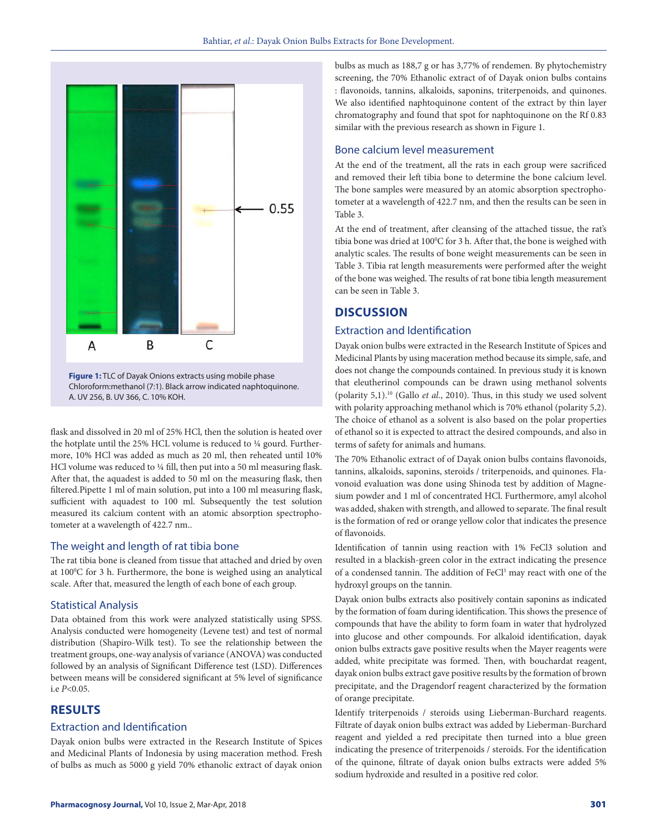

Chloroform:methanol (7:1). Black arrow indicated naphtoquinone. A. UV 256, B. UV 366, C. 10% KOH.

flask and dissolved in 20 ml of 25% HCl, then the solution is heated over the hotplate until the 25% HCL volume is reduced to ¼ gourd. Furthermore, 10% HCl was added as much as 20 ml, then reheated until 10% HCl volume was reduced to ¼ fill, then put into a 50 ml measuring flask. After that, the aquadest is added to 50 ml on the measuring flask, then filtered.Pipette 1 ml of main solution, put into a 100 ml measuring flask, sufficient with aquadest to 100 ml. Subsequently the test solution measured its calcium content with an atomic absorption spectrophotometer at a wavelength of 422.7 nm..

### The weight and length of rat tibia bone

The rat tibia bone is cleaned from tissue that attached and dried by oven at 100°C for 3 h. Furthermore, the bone is weighed using an analytical scale. After that, measured the length of each bone of each group.

#### Statistical Analysis

Data obtained from this work were analyzed statistically using SPSS. Analysis conducted were homogeneity (Levene test) and test of normal distribution (Shapiro-Wilk test). To see the relationship between the treatment groups, one-way analysis of variance (ANOVA) was conducted followed by an analysis of Significant Difference test (LSD). Differences between means will be considered significant at 5% level of significance i.e *P*<0.05.

# **RESULTS**

#### Extraction and Identification

Dayak onion bulbs were extracted in the Research Institute of Spices and Medicinal Plants of Indonesia by using maceration method. Fresh of bulbs as much as 5000 g yield 70% ethanolic extract of dayak onion bulbs as much as 188,7 g or has 3,77% of rendemen. By phytochemistry screening, the 70% Ethanolic extract of of Dayak onion bulbs contains : flavonoids, tannins, alkaloids, saponins, triterpenoids, and quinones. We also identified naphtoquinone content of the extract by thin layer chromatography and found that spot for naphtoquinone on the Rf 0.83 similar with the previous research as shown in Figure 1.

### Bone calcium level measurement

At the end of the treatment, all the rats in each group were sacrificed and removed their left tibia bone to determine the bone calcium level. The bone samples were measured by an atomic absorption spectrophotometer at a wavelength of 422.7 nm, and then the results can be seen in Table 3.

At the end of treatment, after cleansing of the attached tissue, the rat's tibia bone was dried at 100°C for 3 h. After that, the bone is weighed with analytic scales. The results of bone weight measurements can be seen in Table 3. Tibia rat length measurements were performed after the weight of the bone was weighed. The results of rat bone tibia length measurement can be seen in Table 3.

# **DISCUSSION**

# Extraction and Identification

Dayak onion bulbs were extracted in the Research Institute of Spices and Medicinal Plants by using maceration method because its simple, safe, and does not change the compounds contained. In previous study it is known that eleutherinol compounds can be drawn using methanol solvents (polarity 5,1).10 (Gallo *et al*., 2010). Thus, in this study we used solvent with polarity approaching methanol which is 70% ethanol (polarity 5,2). The choice of ethanol as a solvent is also based on the polar properties of ethanol so it is expected to attract the desired compounds, and also in terms of safety for animals and humans.

The 70% Ethanolic extract of of Dayak onion bulbs contains flavonoids, tannins, alkaloids, saponins, steroids / triterpenoids, and quinones. Flavonoid evaluation was done using Shinoda test by addition of Magnesium powder and 1 ml of concentrated HCl. Furthermore, amyl alcohol was added, shaken with strength, and allowed to separate. The final result is the formation of red or orange yellow color that indicates the presence of flavonoids.

Identification of tannin using reaction with 1% FeCl3 solution and resulted in a blackish-green color in the extract indicating the presence of a condensed tannin. The addition of FeCl<sup>3</sup> may react with one of the hydroxyl groups on the tannin.

Dayak onion bulbs extracts also positively contain saponins as indicated by the formation of foam during identification. This shows the presence of compounds that have the ability to form foam in water that hydrolyzed into glucose and other compounds. For alkaloid identification, dayak onion bulbs extracts gave positive results when the Mayer reagents were added, white precipitate was formed. Then, with bouchardat reagent, dayak onion bulbs extract gave positive results by the formation of brown precipitate, and the Dragendorf reagent characterized by the formation of orange precipitate.

Identify triterpenoids / steroids using Lieberman-Burchard reagents. Filtrate of dayak onion bulbs extract was added by Lieberman-Burchard reagent and yielded a red precipitate then turned into a blue green indicating the presence of triterpenoids / steroids. For the identification of the quinone, filtrate of dayak onion bulbs extracts were added 5% sodium hydroxide and resulted in a positive red color.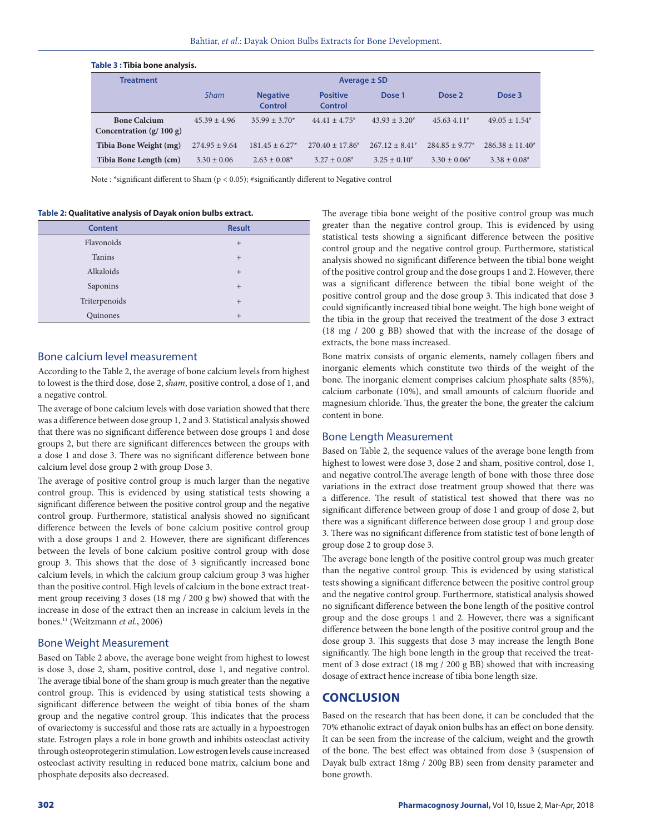| Table 3 : Tibla bone analysis.                   |                   |                                   |                              |                         |                              |                              |  |  |
|--------------------------------------------------|-------------------|-----------------------------------|------------------------------|-------------------------|------------------------------|------------------------------|--|--|
| <b>Treatment</b>                                 | Average $\pm$ SD  |                                   |                              |                         |                              |                              |  |  |
|                                                  | <b>Sham</b>       | <b>Negative</b><br><b>Control</b> | <b>Positive</b><br>Control   | Dose 1                  | Dose 2                       | Dose 3                       |  |  |
| <b>Bone Calcium</b><br>Concentration $(g/100 g)$ | $45.39 + 4.96$    | $35.99 + 3.70*$                   | $44.41 + 4.75$ <sup>*</sup>  | $43.93 + 3.20^*$        | $45.634.11*$                 | $49.05 + 1.54^{\text{*}}$    |  |  |
| Tibia Bone Weight (mg)                           | $274.95 \pm 9.64$ | $181.45 + 6.27*$                  | $270.40 \pm 17.86^*$         | $267.12 \pm 8.41^*$     | $284.85 + 9.77$ <sup>#</sup> | $286.38 \pm 11.40^{\circ}$   |  |  |
| Tibia Bone Length (cm)                           | $3.30 \pm 0.06$   | $2.63 \pm 0.08^*$                 | $3.27 \pm 0.08$ <sup>#</sup> | $3.25 \pm 0.10^{\circ}$ | $3.30 \pm 0.06^*$            | $3.38 \pm 0.08$ <sup>#</sup> |  |  |

Note : \*significant different to Sham (p < 0.05); #significantly different to Negative control

**Table 2: Qualitative analysis of Dayak onion bulbs extract.**

**Table 3 : Tibia bone analysis.**

| <b>Content</b> | <b>Result</b> |
|----------------|---------------|
| Flavonoids     | $^{+}$        |
| Tanins         | $+$           |
| Alkaloids      | $+$           |
| Saponins       | $^{+}$        |
| Triterpenoids  | $+$           |
| Quinones       | $^{+}$        |

#### Bone calcium level measurement

According to the Table 2, the average of bone calcium levels from highest to lowest is the third dose, dose 2, *sham*, positive control, a dose of 1, and a negative control.

The average of bone calcium levels with dose variation showed that there was a difference between dose group 1, 2 and 3. Statistical analysis showed that there was no significant difference between dose groups 1 and dose groups 2, but there are significant differences between the groups with a dose 1 and dose 3. There was no significant difference between bone calcium level dose group 2 with group Dose 3.

The average of positive control group is much larger than the negative control group. This is evidenced by using statistical tests showing a significant difference between the positive control group and the negative control group. Furthermore, statistical analysis showed no significant difference between the levels of bone calcium positive control group with a dose groups 1 and 2. However, there are significant differences between the levels of bone calcium positive control group with dose group 3. This shows that the dose of 3 significantly increased bone calcium levels, in which the calcium group calcium group 3 was higher than the positive control. High levels of calcium in the bone extract treatment group receiving 3 doses (18 mg / 200 g bw) showed that with the increase in dose of the extract then an increase in calcium levels in the bones.11 (Weitzmann *et al*., 2006)

#### Bone Weight Measurement

Based on Table 2 above, the average bone weight from highest to lowest is dose 3, dose 2, sham, positive control, dose 1, and negative control. The average tibial bone of the sham group is much greater than the negative control group. This is evidenced by using statistical tests showing a significant difference between the weight of tibia bones of the sham group and the negative control group. This indicates that the process of ovariectomy is successful and those rats are actually in a hypoestrogen state. Estrogen plays a role in bone growth and inhibits osteoclast activity through osteoprotegerin stimulation. Low estrogen levels cause increased osteoclast activity resulting in reduced bone matrix, calcium bone and phosphate deposits also decreased.

The average tibia bone weight of the positive control group was much greater than the negative control group. This is evidenced by using statistical tests showing a significant difference between the positive control group and the negative control group. Furthermore, statistical analysis showed no significant difference between the tibial bone weight of the positive control group and the dose groups 1 and 2. However, there was a significant difference between the tibial bone weight of the positive control group and the dose group 3. This indicated that dose 3 could significantly increased tibial bone weight. The high bone weight of the tibia in the group that received the treatment of the dose 3 extract (18 mg / 200 g BB) showed that with the increase of the dosage of extracts, the bone mass increased.

Bone matrix consists of organic elements, namely collagen fibers and inorganic elements which constitute two thirds of the weight of the bone. The inorganic element comprises calcium phosphate salts (85%), calcium carbonate (10%), and small amounts of calcium fluoride and magnesium chloride. Thus, the greater the bone, the greater the calcium content in bone.

#### Bone Length Measurement

Based on Table 2, the sequence values of the average bone length from highest to lowest were dose 3, dose 2 and sham, positive control, dose 1, and negative control.The average length of bone with those three dose variations in the extract dose treatment group showed that there was a difference. The result of statistical test showed that there was no significant difference between group of dose 1 and group of dose 2, but there was a significant difference between dose group 1 and group dose 3. There was no significant difference from statistic test of bone length of group dose 2 to group dose 3.

The average bone length of the positive control group was much greater than the negative control group. This is evidenced by using statistical tests showing a significant difference between the positive control group and the negative control group. Furthermore, statistical analysis showed no significant difference between the bone length of the positive control group and the dose groups 1 and 2. However, there was a significant difference between the bone length of the positive control group and the dose group 3. This suggests that dose 3 may increase the length Bone significantly. The high bone length in the group that received the treatment of 3 dose extract (18 mg / 200 g BB) showed that with increasing dosage of extract hence increase of tibia bone length size.

# **CONCLUSION**

Based on the research that has been done, it can be concluded that the 70% ethanolic extract of dayak onion bulbs has an effect on bone density. It can be seen from the increase of the calcium, weight and the growth of the bone. The best effect was obtained from dose 3 (suspension of Dayak bulb extract 18mg / 200g BB) seen from density parameter and bone growth.